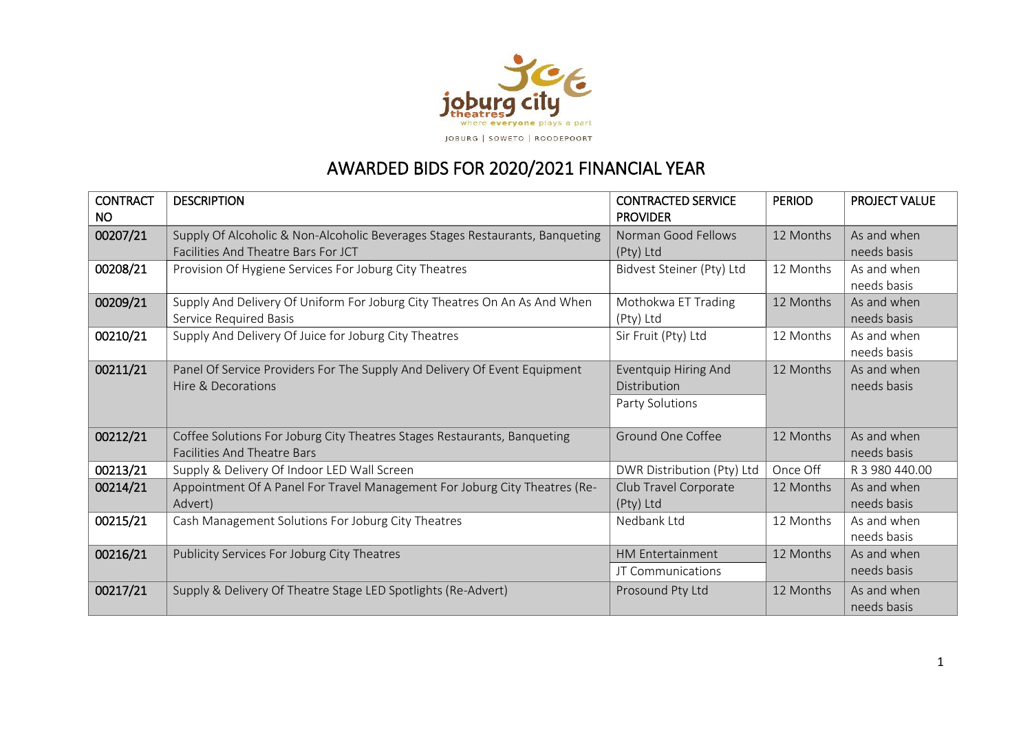

## AWARDED BIDS FOR 2020/2021 FINANCIAL YEAR

| <b>CONTRACT</b> | <b>DESCRIPTION</b>                                                                                             | <b>CONTRACTED SERVICE</b>        | <b>PERIOD</b> | <b>PROJECT VALUE</b>       |
|-----------------|----------------------------------------------------------------------------------------------------------------|----------------------------------|---------------|----------------------------|
| <b>NO</b>       |                                                                                                                | <b>PROVIDER</b>                  |               |                            |
| 00207/21        | Supply Of Alcoholic & Non-Alcoholic Beverages Stages Restaurants, Banqueting                                   | Norman Good Fellows              | 12 Months     | As and when                |
|                 | Facilities And Theatre Bars For JCT                                                                            | (Pty) Ltd                        |               | needs basis                |
| 00208/21        | Provision Of Hygiene Services For Joburg City Theatres                                                         | Bidvest Steiner (Pty) Ltd        | 12 Months     | As and when<br>needs basis |
| 00209/21        | Supply And Delivery Of Uniform For Joburg City Theatres On An As And When<br>Service Required Basis            | Mothokwa ET Trading<br>(Pty) Ltd | 12 Months     | As and when<br>needs basis |
| 00210/21        | Supply And Delivery Of Juice for Joburg City Theatres                                                          | Sir Fruit (Pty) Ltd              | 12 Months     | As and when<br>needs basis |
| 00211/21        | Panel Of Service Providers For The Supply And Delivery Of Event Equipment                                      | Eventquip Hiring And             | 12 Months     | As and when                |
|                 | Hire & Decorations                                                                                             | Distribution                     |               | needs basis                |
|                 |                                                                                                                | Party Solutions                  |               |                            |
| 00212/21        | Coffee Solutions For Joburg City Theatres Stages Restaurants, Banqueting<br><b>Facilities And Theatre Bars</b> | Ground One Coffee                | 12 Months     | As and when<br>needs basis |
| 00213/21        | Supply & Delivery Of Indoor LED Wall Screen                                                                    | DWR Distribution (Pty) Ltd       | Once Off      | R 3 980 440.00             |
| 00214/21        | Appointment Of A Panel For Travel Management For Joburg City Theatres (Re-                                     | Club Travel Corporate            | 12 Months     | As and when                |
|                 | Advert)                                                                                                        | (Pty) Ltd                        |               | needs basis                |
| 00215/21        | Cash Management Solutions For Joburg City Theatres                                                             | Nedbank Ltd                      | 12 Months     | As and when                |
|                 |                                                                                                                |                                  |               | needs basis                |
| 00216/21        | Publicity Services For Joburg City Theatres                                                                    | <b>HM Entertainment</b>          | 12 Months     | As and when                |
|                 |                                                                                                                | JT Communications                |               | needs basis                |
| 00217/21        | Supply & Delivery Of Theatre Stage LED Spotlights (Re-Advert)                                                  | Prosound Pty Ltd                 | 12 Months     | As and when<br>needs basis |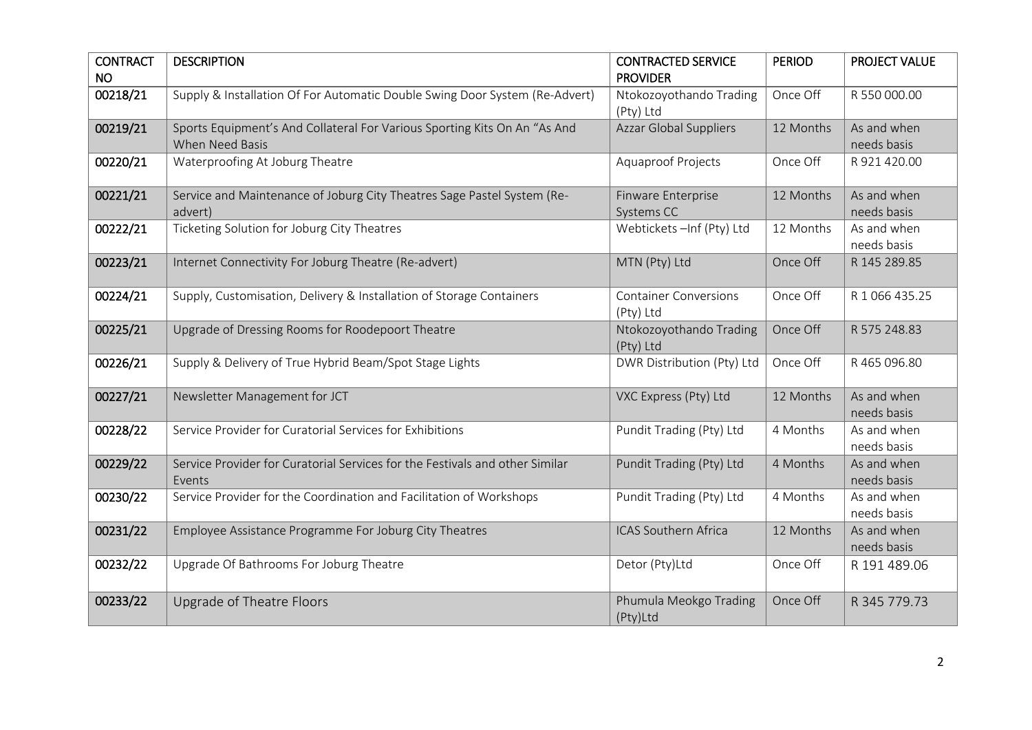| <b>CONTRACT</b> | <b>DESCRIPTION</b>                                                           | <b>CONTRACTED SERVICE</b>     | <b>PERIOD</b> | PROJECT VALUE  |
|-----------------|------------------------------------------------------------------------------|-------------------------------|---------------|----------------|
| <b>NO</b>       |                                                                              | <b>PROVIDER</b>               |               |                |
| 00218/21        | Supply & Installation Of For Automatic Double Swing Door System (Re-Advert)  | Ntokozoyothando Trading       | Once Off      | R 550 000.00   |
|                 |                                                                              | (Pty) Ltd                     |               |                |
| 00219/21        | Sports Equipment's And Collateral For Various Sporting Kits On An "As And    | <b>Azzar Global Suppliers</b> | 12 Months     | As and when    |
|                 | <b>When Need Basis</b>                                                       |                               |               | needs basis    |
| 00220/21        | Waterproofing At Joburg Theatre                                              | <b>Aquaproof Projects</b>     | Once Off      | R 921 420.00   |
|                 |                                                                              |                               |               |                |
| 00221/21        | Service and Maintenance of Joburg City Theatres Sage Pastel System (Re-      | Finware Enterprise            | 12 Months     | As and when    |
|                 | advert)                                                                      | Systems CC                    |               | needs basis    |
| 00222/21        | Ticketing Solution for Joburg City Theatres                                  | Webtickets - Inf (Pty) Ltd    | 12 Months     | As and when    |
|                 |                                                                              |                               |               | needs basis    |
| 00223/21        | Internet Connectivity For Joburg Theatre (Re-advert)                         | MTN (Pty) Ltd                 | Once Off      | R 145 289.85   |
|                 |                                                                              |                               |               |                |
| 00224/21        | Supply, Customisation, Delivery & Installation of Storage Containers         | <b>Container Conversions</b>  | Once Off      | R 1 066 435.25 |
|                 |                                                                              | (Pty) Ltd                     |               |                |
| 00225/21        | Upgrade of Dressing Rooms for Roodepoort Theatre                             | Ntokozoyothando Trading       | Once Off      | R 575 248.83   |
|                 |                                                                              | (Pty) Ltd                     |               |                |
| 00226/21        | Supply & Delivery of True Hybrid Beam/Spot Stage Lights                      | DWR Distribution (Pty) Ltd    | Once Off      | R 465 096.80   |
|                 |                                                                              |                               |               |                |
| 00227/21        | Newsletter Management for JCT                                                | VXC Express (Pty) Ltd         | 12 Months     | As and when    |
|                 |                                                                              |                               |               | needs basis    |
| 00228/22        | Service Provider for Curatorial Services for Exhibitions                     | Pundit Trading (Pty) Ltd      | 4 Months      | As and when    |
|                 |                                                                              |                               |               | needs basis    |
| 00229/22        | Service Provider for Curatorial Services for the Festivals and other Similar | Pundit Trading (Pty) Ltd      | 4 Months      | As and when    |
|                 | Events                                                                       |                               |               | needs basis    |
| 00230/22        | Service Provider for the Coordination and Facilitation of Workshops          | Pundit Trading (Pty) Ltd      | 4 Months      | As and when    |
|                 |                                                                              |                               |               | needs basis    |
| 00231/22        | Employee Assistance Programme For Joburg City Theatres                       | <b>ICAS Southern Africa</b>   | 12 Months     | As and when    |
|                 |                                                                              |                               |               | needs basis    |
| 00232/22        | Upgrade Of Bathrooms For Joburg Theatre                                      | Detor (Pty)Ltd                | Once Off      | R 191 489.06   |
|                 |                                                                              |                               |               |                |
| 00233/22        | Upgrade of Theatre Floors                                                    | Phumula Meokgo Trading        | Once Off      | R 345 779.73   |
|                 |                                                                              | (Pty)Ltd                      |               |                |